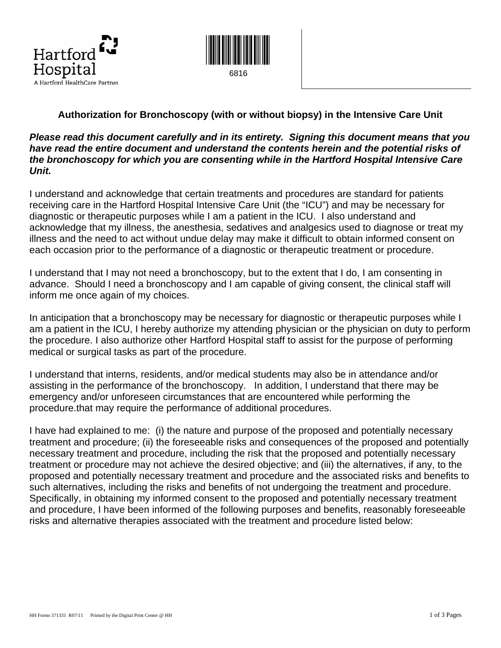



#### **Authorization for Bronchoscopy (with or without biopsy) in the Intensive Care Unit**

#### *Please read this document carefully and in its entirety. Signing this document means that you have read the entire document and understand the contents herein and the potential risks of the bronchoscopy for which you are consenting while in the Hartford Hospital Intensive Care Unit.*

I understand and acknowledge that certain treatments and procedures are standard for patients receiving care in the Hartford Hospital Intensive Care Unit (the "ICU") and may be necessary for diagnostic or therapeutic purposes while I am a patient in the ICU. I also understand and acknowledge that my illness, the anesthesia, sedatives and analgesics used to diagnose or treat my illness and the need to act without undue delay may make it difficult to obtain informed consent on each occasion prior to the performance of a diagnostic or therapeutic treatment or procedure.

I understand that I may not need a bronchoscopy, but to the extent that I do, I am consenting in advance. Should I need a bronchoscopy and I am capable of giving consent, the clinical staff will inform me once again of my choices.

In anticipation that a bronchoscopy may be necessary for diagnostic or therapeutic purposes while I am a patient in the ICU, I hereby authorize my attending physician or the physician on duty to perform the procedure. I also authorize other Hartford Hospital staff to assist for the purpose of performing medical or surgical tasks as part of the procedure.

I understand that interns, residents, and/or medical students may also be in attendance and/or assisting in the performance of the bronchoscopy. In addition, I understand that there may be emergency and/or unforeseen circumstances that are encountered while performing the procedure.that may require the performance of additional procedures.

I have had explained to me: (i) the nature and purpose of the proposed and potentially necessary treatment and procedure; (ii) the foreseeable risks and consequences of the proposed and potentially necessary treatment and procedure, including the risk that the proposed and potentially necessary treatment or procedure may not achieve the desired objective; and (iii) the alternatives, if any, to the proposed and potentially necessary treatment and procedure and the associated risks and benefits to such alternatives, including the risks and benefits of not undergoing the treatment and procedure. Specifically, in obtaining my informed consent to the proposed and potentially necessary treatment and procedure, I have been informed of the following purposes and benefits, reasonably foreseeable risks and alternative therapies associated with the treatment and procedure listed below: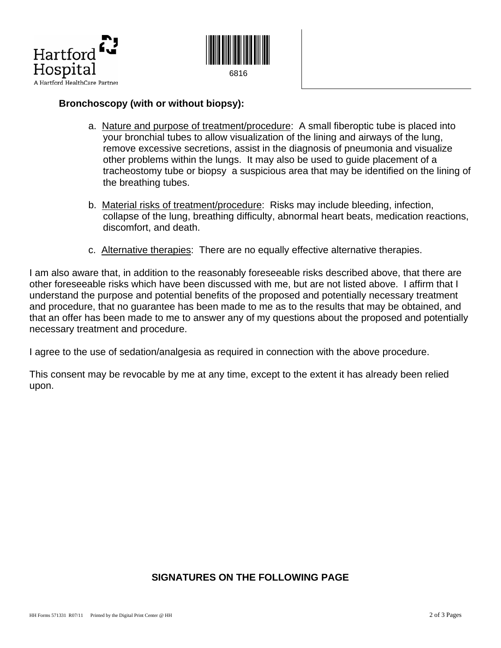



### **Bronchoscopy (with or without biopsy):**

- a. Nature and purpose of treatment/procedure: A small fiberoptic tube is placed into your bronchial tubes to allow visualization of the lining and airways of the lung, remove excessive secretions, assist in the diagnosis of pneumonia and visualize other problems within the lungs. It may also be used to guide placement of a tracheostomy tube or biopsy a suspicious area that may be identified on the lining of the breathing tubes.
- b. Material risks of treatment/procedure: Risks may include bleeding, infection, collapse of the lung, breathing difficulty, abnormal heart beats, medication reactions, discomfort, and death.
- c. Alternative therapies:There are no equally effective alternative therapies.

I am also aware that, in addition to the reasonably foreseeable risks described above, that there are other foreseeable risks which have been discussed with me, but are not listed above. I affirm that I understand the purpose and potential benefits of the proposed and potentially necessary treatment and procedure, that no guarantee has been made to me as to the results that may be obtained, and that an offer has been made to me to answer any of my questions about the proposed and potentially necessary treatment and procedure.

I agree to the use of sedation/analgesia as required in connection with the above procedure.

This consent may be revocable by me at any time, except to the extent it has already been relied upon.

## **SIGNATURES ON THE FOLLOWING PAGE**